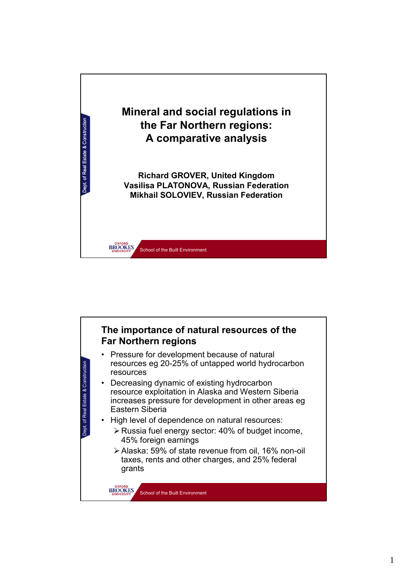

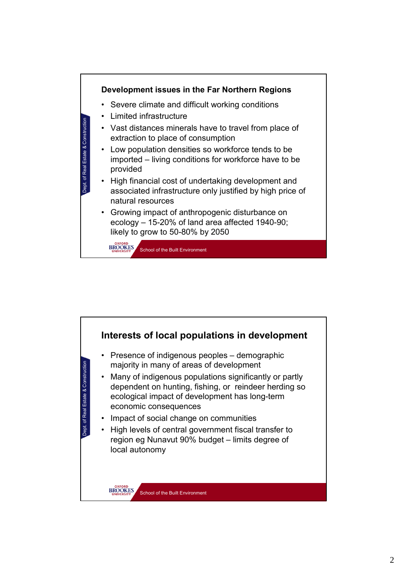

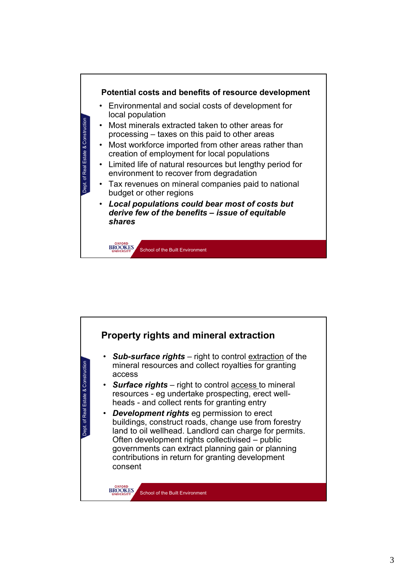

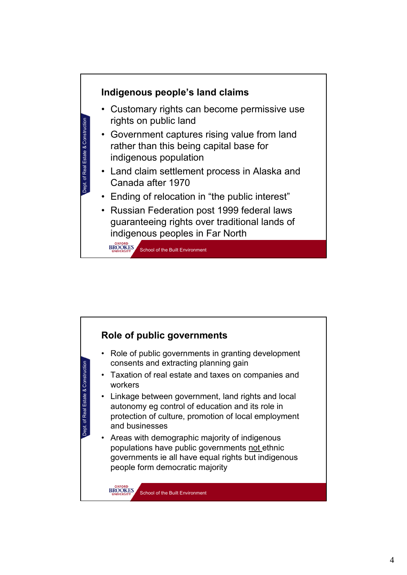

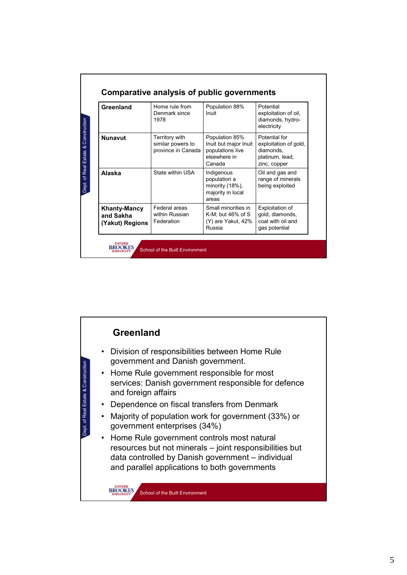| Greenland                                           | Home rule from<br>Denmark since<br>1978                   | Population 88%<br>Inuit                                                               | Potential<br>exploitation of oil,<br>diamonds, hydro-<br>electricity                   |
|-----------------------------------------------------|-----------------------------------------------------------|---------------------------------------------------------------------------------------|----------------------------------------------------------------------------------------|
| <b>Nunavut</b>                                      | Territory with<br>similar powers to<br>province in Canada | Population 85%<br>Inuit but major Inuit<br>populations live<br>elsewhere in<br>Canada | Potential for<br>exploitation of gold,<br>diamonds,<br>platinum, lead,<br>zinc, copper |
| Alaska                                              | State within USA                                          | Indigenous<br>population a<br>minority (18%),<br>majority in local<br>areas           | Oil and gas and<br>range of minerals<br>being exploited                                |
| <b>Khanty-Mancy</b><br>and Sakha<br>(Yakut) Regions | Federal areas<br>within Russian<br>Federation             | Small minorities in<br>K-M; but $46\%$ of S<br>(Y) are Yakut, 42%<br>Russia           | Exploitation of<br>gold, diamonds,<br>coal with oil and<br>gas potential               |

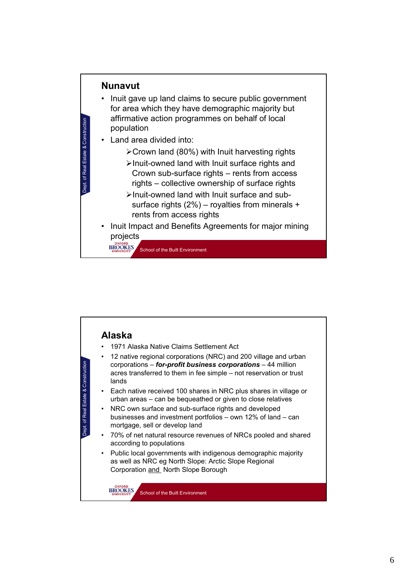

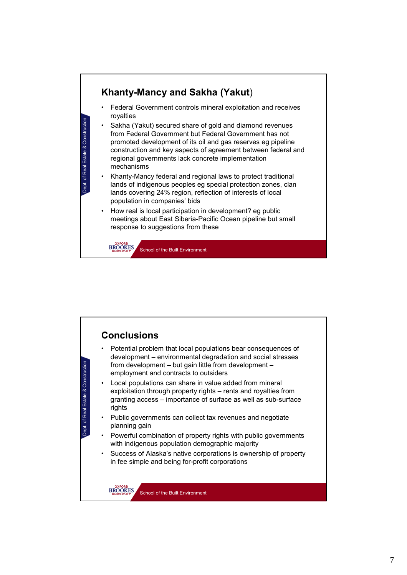